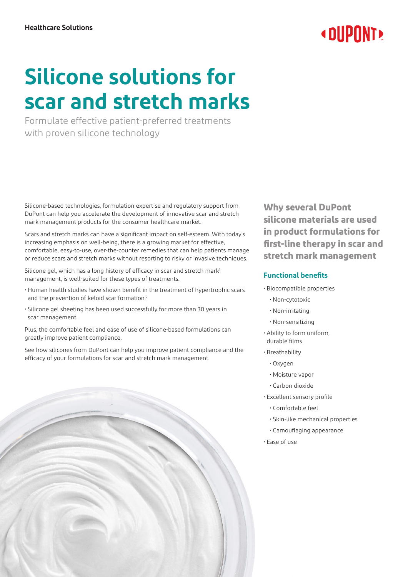## **« DUPONT**

# **Silicone solutions for scar and stretch marks**

Formulate effective patient-preferred treatments with proven silicone technology

Silicone-based technologies, formulation expertise and regulatory support from DuPont can help you accelerate the development of innovative scar and stretch mark management products for the consumer healthcare market.

Scars and stretch marks can have a significant impact on self-esteem. With today's increasing emphasis on well-being, there is a growing market for effective, comfortable, easy-to-use, over-the-counter remedies that can help patients manage or reduce scars and stretch marks without resorting to risky or invasive techniques.

Silicone gel, which has a long history of efficacy in scar and stretch mark<sup>1</sup> management, is well-suited for these types of treatments.

- Human health studies have shown benefit in the treatment of hypertrophic scars and the prevention of keloid scar formation.<sup>2</sup>
- Silicone gel sheeting has been used successfully for more than 30 years in scar management.

Plus, the comfortable feel and ease of use of silicone-based formulations can greatly improve patient compliance.

See how silicones from DuPont can help you improve patient compliance and the efficacy of your formulations for scar and stretch mark management.

**Why several DuPont silicone materials are used in product formulations for first-line therapy in scar and stretch mark management**

#### **Functional benefits**

- Biocompatible properties
	- Non-cytotoxic
	- Non-irritating
	- Non-sensitizing
- Ability to form uniform, durable films
- Breathability
	- Oxygen
	- Moisture vapor
	- Carbon dioxide
- Excellent sensory profile
	- Comfortable feel
	- Skin-like mechanical properties
	- Camouflaging appearance
- Ease of use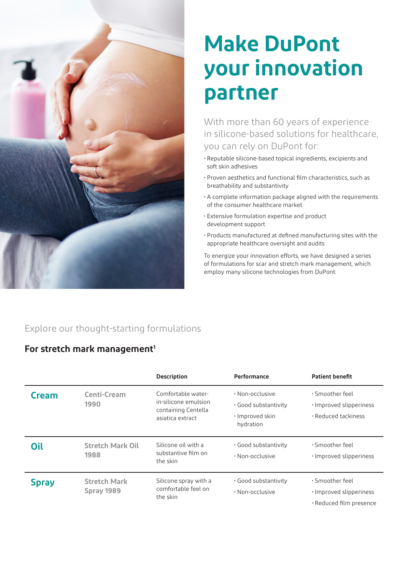

# **Make DuPont your innovation partner**

With more than 60 years of experience in silicone-based solutions for healthcare, you can rely on DuPont for:

- Reputable silicone-based topical ingredients, excipients and soft skin adhesives
- Proven aesthetics and functional film characteristics, such as breathability and substantivity
- A complete information package aligned with the requirements of the consumer healthcare market
- Extensive formulation expertise and product development support
- Products manufactured at defined manufacturing sites with the appropriate healthcare oversight and audits

To energize your innovation efforts, we have designed a series of formulations for scar and stretch mark management, which employ many silicone technologies from DuPont.

### Explore our thought-starting formulations

#### For stretch mark management<sup>1</sup>

|              |                                   | <b>Description</b>                                                                    | Performance                                                                   | <b>Patient benefit</b>                                                  |
|--------------|-----------------------------------|---------------------------------------------------------------------------------------|-------------------------------------------------------------------------------|-------------------------------------------------------------------------|
| <b>Cream</b> | <b>Centi-Cream</b><br>1990        | Comfortable water-<br>in-silicone emulsion<br>containing Centella<br>asiatica extract | $\cdot$ Non-occlusive<br>. Good substantivity<br>· Improved skin<br>hydration | . Smoother feel<br>· Improved slipperiness<br>$\cdot$ Reduced tackiness |
| Oil          | <b>Stretch Mark Oil</b><br>1988   | Silicone oil with a<br>substantive film on<br>the skin                                | . Good substantivity<br>$\cdot$ Non-occlusive                                 | · Smoother feel<br>· Improved slipperiness                              |
| <b>Spray</b> | <b>Stretch Mark</b><br>Spray 1989 | Silicone spray with a<br>comfortable feel on<br>the skin                              | . Good substantivity<br>$\cdot$ Non-occlusive                                 | · Smoother feel<br>· Improved slipperiness<br>· Reduced film presence   |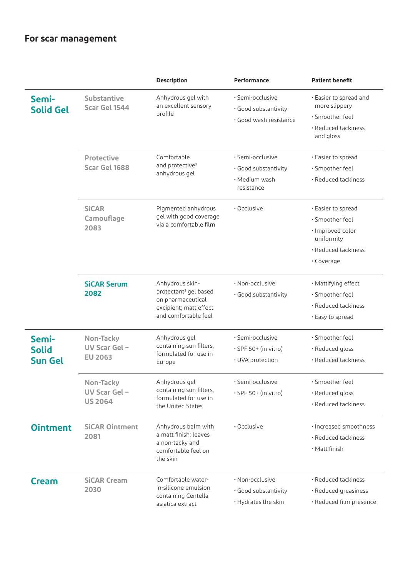### **For scar management**

|                                         |                                             | Description                                                                                                                 | Performance                                                             | <b>Patient benefit</b>                                                                                       |
|-----------------------------------------|---------------------------------------------|-----------------------------------------------------------------------------------------------------------------------------|-------------------------------------------------------------------------|--------------------------------------------------------------------------------------------------------------|
| Semi-<br><b>Solid Gel</b>               | <b>Substantive</b><br>Scar Gel 1544         | Anhydrous gel with<br>an excellent sensory<br>profile                                                                       | · Semi-occlusive<br>· Good substantivity<br>· Good wash resistance      | · Easier to spread and<br>more slippery<br>· Smoother feel<br>· Reduced tackiness<br>and gloss               |
|                                         | <b>Protective</b><br>Scar Gel 1688          | Comfortable<br>and protective <sup>3</sup><br>anhydrous gel                                                                 | · Semi-occlusive<br>· Good substantivity<br>· Medium wash<br>resistance | · Easier to spread<br>· Smoother feel<br>· Reduced tackiness                                                 |
|                                         | <b>SiCAR</b><br>Camouflage<br>2083          | Pigmented anhydrous<br>gel with good coverage<br>via a comfortable film                                                     | · Occlusive                                                             | · Easier to spread<br>· Smoother feel<br>· Improved color<br>uniformity<br>· Reduced tackiness<br>· Coverage |
|                                         | <b>SiCAR Serum</b><br>2082                  | Anhydrous skin-<br>protectant <sup>3</sup> gel based<br>on pharmaceutical<br>excipient; matt effect<br>and comfortable feel | $\cdot$ Non-occlusive<br>· Good substantivity                           | · Mattifying effect<br>· Smoother feel<br>· Reduced tackiness<br>· Easy to spread                            |
| Semi-<br><b>Solid</b><br><b>Sun Gel</b> | Non-Tacky<br>UV Scar Gel-<br><b>EU 2063</b> | Anhydrous gel<br>containing sun filters,<br>formulated for use in<br>Europe                                                 | · Semi-occlusive<br>$\cdot$ SPF 50+ (in vitro)<br>· UVA protection      | · Smoother feel<br>· Reduced gloss<br>· Reduced tackiness                                                    |
|                                         | Non-Tacky<br>UV Scar Gel-<br><b>US 2064</b> | Anhydrous gel<br>containing sun filters,<br>formulated for use in<br>the United States                                      | • Semi-occlusive<br>$\cdot$ SPF 50+ (in vitro)                          | · Smoother feel<br>· Reduced gloss<br>· Reduced tackiness                                                    |
| <b>Ointment</b>                         | <b>SiCAR Ointment</b><br>2081               | Anhydrous balm with<br>a matt finish; leaves<br>a non-tacky and<br>comfortable feel on<br>the skin                          | · Occlusive                                                             | · Increased smoothness<br>· Reduced tackiness<br>· Matt finish                                               |
| <b>Cream</b>                            | <b>SiCAR Cream</b><br>2030                  | Comfortable water-<br>in-silicone emulsion<br>containing Centella<br>asiatica extract                                       | · Non-occlusive<br>· Good substantivity<br>· Hydrates the skin          | · Reduced tackiness<br>· Reduced greasiness<br>· Reduced film presence                                       |